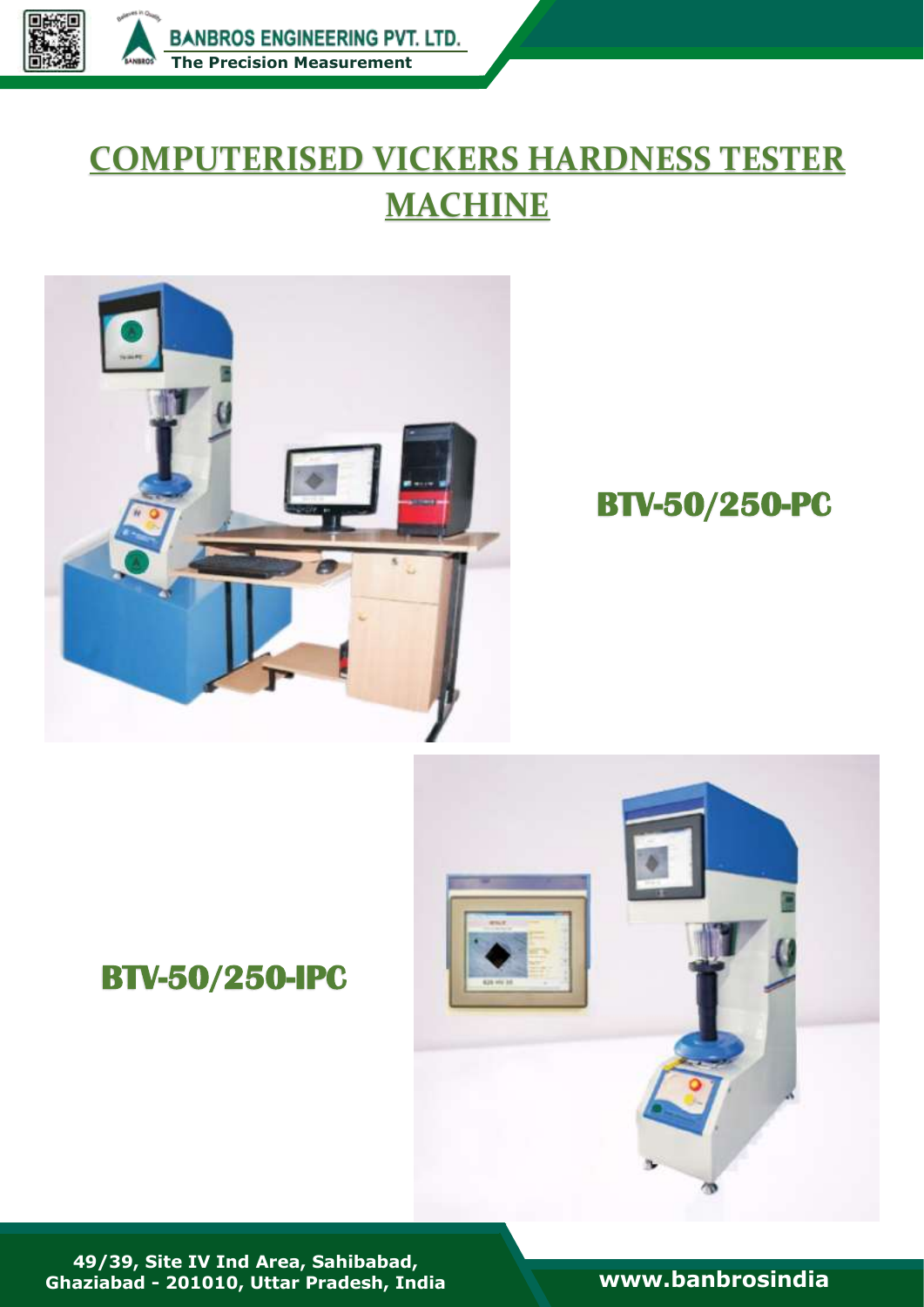

# **COMPUTERISED VICKERS HARDNESS TESTER MACHINE**



## **BTV-50/250-PC**

## **BTV-50/250-IPC**



**49/39, Site IV Ind Area, Sahibabad, Ghaziabad - 201010, Uttar Pradesh, India [www.banbrosindia](file:///C:/Users/Bambros%20User/Desktop/Banbros%20Engineering%20Pvt.%20Ltd/Banbros%20Engineering%20Pvt.%20Ltd/New%20Cataloge%20PDF/My%20Own%20PDF/www.banbrosindia.com)**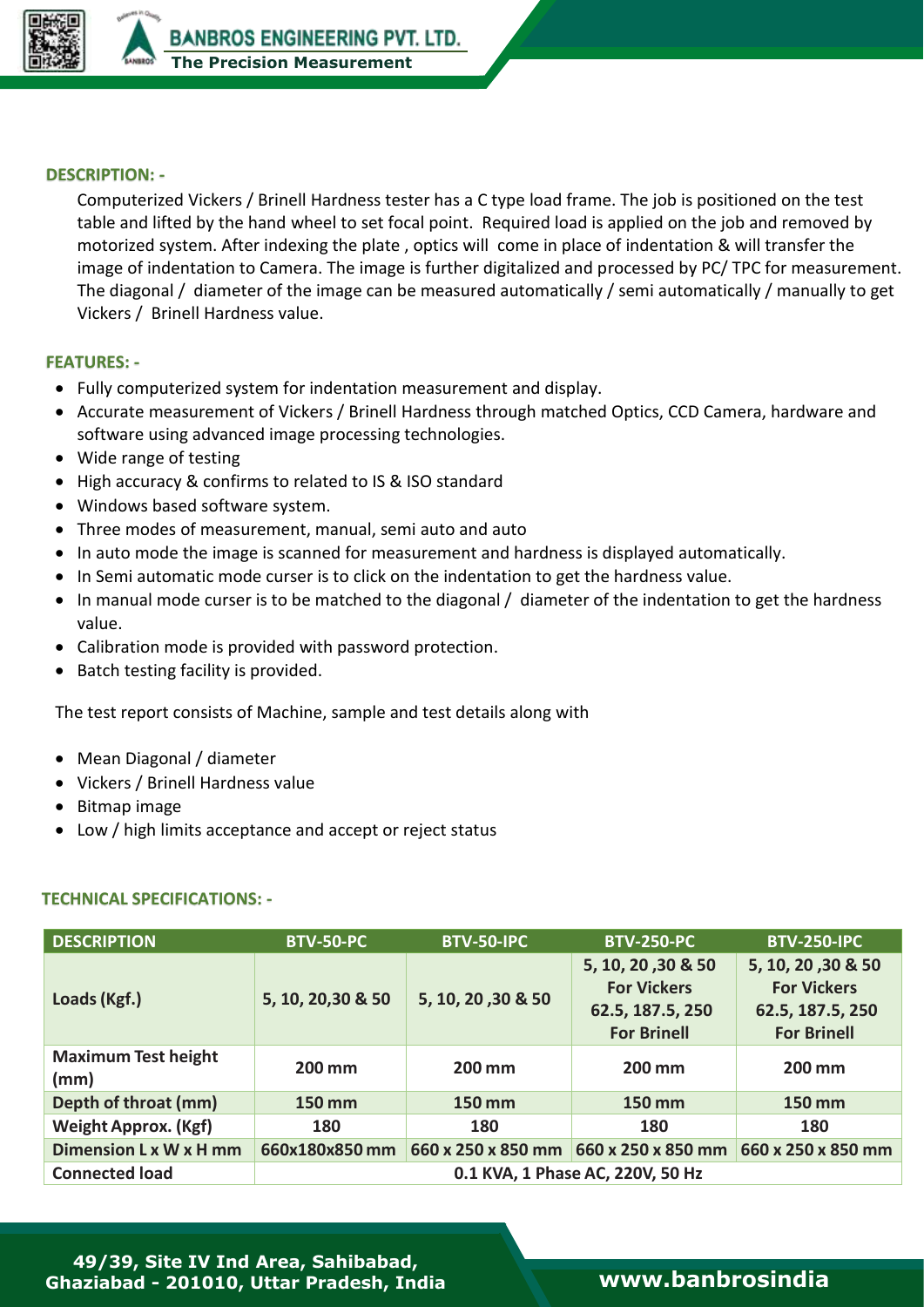

**People**

### **DESCRIPTION: -**

Computerized Vickers / Brinell Hardness tester has a C type load frame. The job is positioned on the test table and lifted by the hand wheel to set focal point. Required load is applied on the job and removed by motorized system. After indexing the plate , optics will come in place of indentation & will transfer the image of indentation to Camera. The image is further digitalized and processed by PC/ TPC for measurement. The diagonal / diameter of the image can be measured automatically / semi automatically / manually to get Vickers / Brinell Hardness value.

### **FEATURES: -**

- Fully computerized system for indentation measurement and display.
- Accurate measurement of Vickers / Brinell Hardness through matched Optics, CCD Camera, hardware and software using advanced image processing technologies.
- Wide range of testing
- High accuracy & confirms to related to IS & ISO standard
- Windows based software system.
- Three modes of measurement, manual, semi auto and auto
- In auto mode the image is scanned for measurement and hardness is displayed automatically.
- In Semi automatic mode curser is to click on the indentation to get the hardness value.
- In manual mode curser is to be matched to the diagonal / diameter of the indentation to get the hardness value.
- Calibration mode is provided with password protection.
- Batch testing facility is provided.

The test report consists of Machine, sample and test details along with

- Mean Diagonal / diameter
- Vickers / Brinell Hardness value
- Bitmap image
- Low / high limits acceptance and accept or reject status

#### **TECHNICAL SPECIFICATIONS: -**

| <b>DESCRIPTION</b>                 | <b>BTV-50-PC</b>                 | BTV-50-IPC         | <b>BTV-250-PC</b>                                                                  | <b>BTV-250-IPC</b>                                                                 |  |  |
|------------------------------------|----------------------------------|--------------------|------------------------------------------------------------------------------------|------------------------------------------------------------------------------------|--|--|
| Loads (Kgf.)                       | 5, 10, 20, 30 & 50               | 5, 10, 20, 30 & 50 | 5, 10, 20, 30 & 50<br><b>For Vickers</b><br>62.5, 187.5, 250<br><b>For Brinell</b> | 5, 10, 20, 30 & 50<br><b>For Vickers</b><br>62.5, 187.5, 250<br><b>For Brinell</b> |  |  |
| <b>Maximum Test height</b><br>(mm) | 200 mm                           | 200 mm             | 200 mm                                                                             | 200 mm                                                                             |  |  |
| Depth of throat (mm)               | 150 mm                           | <b>150 mm</b>      | 150 mm                                                                             | 150 mm                                                                             |  |  |
| <b>Weight Approx. (Kgf)</b>        | 180                              | 180                | 180                                                                                | 180                                                                                |  |  |
| Dimension L x W x H mm             | 660x180x850 mm                   | 660 x 250 x 850 mm | 660 x 250 x 850 mm                                                                 | 660 x 250 x 850 mm                                                                 |  |  |
| <b>Connected load</b>              | 0.1 KVA, 1 Phase AC, 220V, 50 Hz |                    |                                                                                    |                                                                                    |  |  |